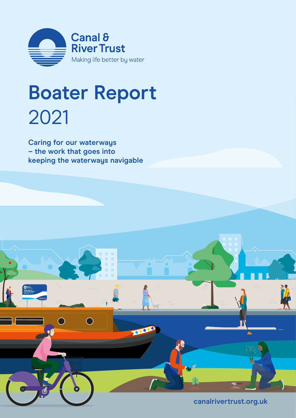

## **Boater Report** 2021

**Caring for our waterways – the work that goes into keeping the waterways navigable**

Charles<br>Nelcome to<br>Jur local canal

 $\bigcirc$ 

TOO

**[canalrivertrust.org.uk](https://canalrivertrust.org.uk/)**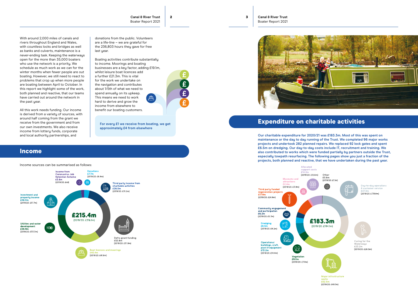**Canal & River Trust** Boater Report 2021



With around 2,000 miles of canals and rivers throughout England and Wales, with countless locks and bridges as well as banks and culverts, maintenance is a never-ending task. Keeping the waterways open for the more than 35,000 boaters who use the network is a priority. We schedule as much work as we can for the winter months when fewer people are out boating. However, we still need to react to problems that crop up when more people are boating between April to October. In this report we highlight some of the work, both planned and reactive, that our teams have carried out around the network in the past year.

donations from the public. Volunteers are a life-line – we are grateful for the 236,803 hours they gave for free last year.

All this work needs funding. Our income is derived from a variety of sources, with around half coming from the grant we receive from the government and from our own investments. We also receive income from lottery funds, corporate and local authority partnerships, and

Boating activities contribute substantially to income. Moorings and boating businesses are a key factor, adding £19.1m, whilst leisure boat licences add a further £21.3m. This is vital for the work we undertake on the navigation and contributes about 1/5th of what we need to spend annually on its upkeep. A This means we need to work hard to derive and grow the income from elsewhere to benefit our boating customers.



### Income

Income sources can be summarised as follows:



### Expenditure on charitable activities

**Our charitable expenditure for 2020/21 was £183.3m. Most of this was spent on maintenance or the day to day running of the Trust. We completed 96 major works projects and undertook 282 planned repairs. We replaced 92 lock gates and spent £6.5m on dredging. Our day-to-day costs include IT, recruitment and training. We also contributed to works which were funded partially by partners outside the Trust, especially towpath resurfacing. The following pages show you just a fraction of the projects, both planned and reactive, that we have undertaken during the past year.**



£52.5m (2019/20: £49.7m)

**For every £1 we receive from boating, we get approximately £4 from elsewhere**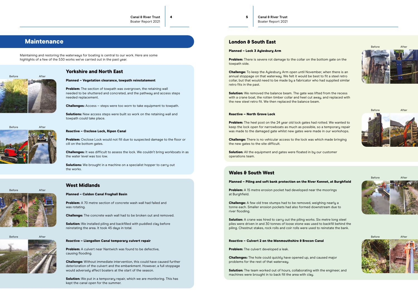### **Maintenance**

 $4\overline{5}$ 

Maintaining and restoring the waterways for boating is central to our work. Here are some highlights of a few of the 530 works we've carried out in the past year.

> **Problem:** The section of towpath was overgrown, the retaining wall needed to be shuttered and concreted, and the pathway and access steps needed replacement.

### Yorkshire and North East

### Planned – Vegetation clearance, towpath reinstatement

**Solutions:** New access steps were built so work on the retaining wall and towpath could take place.

Problem: Oxclose Lock would not fill due to suspected damage to the floor or cill on the bottom gates.

**Challenges:** It was difficult to assess the lock. We couldn't bring workboats in as the water level was too low.

**Solutions:** We brought in a machine on a specialist hopper to carry out the works.

Challenges: Access – steps were too worn to take equipment to towpath.

**Problem:** There is severe rot damage to the collar on the bottom gate on the towpath side.

### Reactive – Oxclose Lock, Ripon Canal

**Challenge:** To keep the Aylesbury Arm open until November, when there is an annual stoppage on that waterway. We felt it would be best to fit a steel retro collar, but that would need to be made by a fabricator who had supplied similar retro fits in the past.

**Solution:** We removed the balance beam. The gate was lifted from the recess with a crane boat, the rotten timber collar and heel cut away, and replaced with the new steel retro fit. We then replaced the balance beam.

**Problem:** The heel post on the 24 year old lock gates had rotted. We wanted to keep the lock open for narrowboats as much as possible, so a temporary repair was made to the damaged gate whilst new gates were made in our workshops.

### London & South East

### Planned – Lock 3 Aylesbury Arm

**Solution:** All the equipment and gates were floated in by our customer operations team.

**Problem:** A 15 metre erosion pocket had developed near the moorings at Burghfield.

**Solution:** A crane was hired to carry out the piling works. Six metre long steel piles were driven in and 30 tonnes of loose stone was used to backfill behind the piling. Chestnut stakes, rock rolls and coir rolls were used to reinstate the bank.

**Solution:** The team worked out of hours, collaborating with the engineer, and machines were brought in to back fill the area with clay.

**B**efore

**Problem:** A 70 metre section of concrete wash wall had failed and was rotating.

### Reactive – North Grove Lock

Solution: We installed piling and backfilled with puddled clay before reinstating the area. It took 45 days in total.

**Problem:** A culvert near Nantwich was found to be defective, causing flooding.

Solution: We put in a temporary repair, which we are monitoring. This has kept the canal open for the summer.

Before After

Challenge: There is no vehicular access to the lock was which made bringing the new gates to the site difficult.

### Wales & South West

### Planned – Piling and soft bank protection on the River Kennet, at Burghfield

Challenge: A few old tree stumps had to be removed, weighing nearly a tonne each. Smaller erosion pockets had also formed downstream due to river flooding.

### Reactive – Culvert 2 on the Monmouthshire & Brecon Canal

**Problem:** The culvert developed a leak.

Challenges: The hole could quickly have opened up, and caused major problems for the rest of that waterway.

### West Midlands

### Planned – Caldon Canal Froghall Basin

Challenge: The concrete wash wall had to be broken out and removed.

### Reactive – Llangollen Canal temporary culvert repair

Challenge: Without immediate intervention, this could have caused further deterioration of the culvert and the embankment. However, a full stoppage would adversely affect boaters at the start of the season.

Before

Before







Before

Before



After

After



After

After

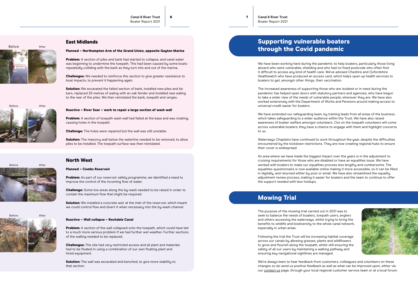**Canal & River Trust** Boater Report 2021

6 7

### East Midlands

### Planned – Northampton Arm of the Grand Union, opposite Gayton Marina

**Problem:** A section of piles and bank had started to collapse, and canal water was beginning to undermine the towpath. This had been caused by some boats repeatedly colliding with the bank as they turn into and out of the marina.

**Solution:** We excavated the failed section of bank, installed new piles and tie bars, replaced 25 metres of waling with an oak fender and installed new waling to the rear of the piles. We then reinstated the bank, towpath and verges.

Challenges: We needed to reinforce this section to give greater resistance to boat impacts, to prevent it happening again.

**Problem:** A section of towpath wash wall had failed at the base and was rotating, causing holes in the towpath.

**Solution:** The masonry wall below the waterline needed to be removed, to allow piles to be installed. The towpath surface was then reinstated.

Problem: As part of our reservoir safety programme, we identified a need to improve the control of the incoming flow of water.

### Reactive – River Soar – work to repair a large section of wash wall

**Solution:** We installed a concrete weir at the inlet of the reservoir, which meant we could control flow and divert it when necessary into the by-wash channel.

Problem: A section of the wall collapsed onto the towpath, which could have led to a much more serious problem if we had further wet weather. Further sections of the walling needed to be replaced.

Challenge: The holes were repaired but the wall was still unstable.

**Solution:** The wall was excavated and benched, to give more stability to that section.

### North West

### Planned – Combs Reservoir

Challenge: Some low areas along the by-wash needed to be raised in order to contain the maximum flow that might be required.

### Reactive – Wall collapse – Rochdale Canal

Challenges: The site had very restricted access and all plant and materials had to be floated in using a combination of our own floating plant and hired equipment.

We have been working hard during the pandemic to help boaters, particularly those living aboard who were vulnerable, shielding and who had no fixed postcode who often find it difficult to access any kind of health care. We've advised Cheshire and Oxfordshire Healthwatch who have produced an access card, which helps open up health services to boaters to get, amongst other things, their vaccination.

We're always keen to hear feedback from customers, colleagues and volunteers on these changes so do send us positive feedback as well as what can be improved upon, either via our [contact us](https://canalrivertrust.org.uk/contact-us/ways-to-contact-us) page, through your local regional customer service team or at a local forum.

# Before  $Afta$

The increased awareness of supporting those who are isolated or in need during the pandemic has helped open doors with statutory partners and agencies, who have begun to take a wider view of the needs of vulnerable people, wherever they are. We have also worked extensively with the Department of Works and Pensions around making access to universal credit easier for boaters.

We have extended our safeguarding team, by training leads from all areas of the business, which takes safeguarding to a wider audience within the Trust. We have also raised awareness of boater welfare amongst volunteers. Out on the towpath volunteers will come across vulnerable boaters; they have a chance to engage with them and highlight concerns to us.

Waterways Chaplains have continued to work throughout the year, despite the difficulties encountered by the lockdown restrictions. They are now creating regional hubs to ensure their cover is widespread.

An area where we have made the biggest impact over the years is in the adjustment to cruising requirements for those who are disabled or have an equalities issue. We have worked with boaters to make our equalities process less lengthy and cumbersome. The equalities questionnaire is now available online making it more accessible, so it can be filled in digitally, and returned either by post or email. We have also streamlined the equality adjustment review process, making it easier for boaters and the team to continue to offer the support needed with less holdups.

### Mowing Trial

The purpose of the mowing trial carried out in 2021 was to seek to balance the needs of boaters, towpath users, anglers and others accessing the waterways, whilst trying to bring the benefits to wildlife and biodiversity to the whole canal network, especially in urban areas.

Following the trial the Trust will be increasing habitat coverage across our canals by allowing grasses, plants and wildflowers to grow and flourish along the towpath, whilst still ensuring the safety of all our users by maintaining a walking pathway and ensuring key navigational sightlines are managed.

### Supporting vulnerable boaters through the Covid pandemic







Before

After